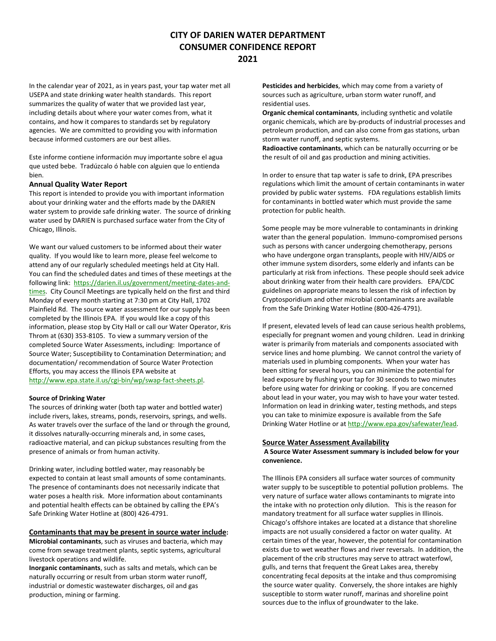# **CITY OF DARIEN WATER DEPARTMENT CONSUMER CONFIDENCE REPORT 2021**

In the calendar year of 2021, as in years past, your tap water met all USEPA and state drinking water health standards. This report summarizes the quality of water that we provided last year, including details about where your water comes from, what it contains, and how it compares to standards set by regulatory agencies. We are committed to providing you with information because informed customers are our best allies.

Este informe contiene información muy importante sobre el agua que usted bebe. Tradúzcalo ó hable con alguien que lo entienda bien.

#### **Annual Quality Water Report**

This report is intended to provide you with important information about your drinking water and the efforts made by the DARIEN water system to provide safe drinking water. The source of drinking water used by DARIEN is purchased surface water from the City of Chicago, Illinois.

We want our valued customers to be informed about their water quality. If you would like to learn more, please feel welcome to attend any of our regularly scheduled meetings held at City Hall. You can find the scheduled dates and times of these meetings at the following link: [https://darien.il.us/government/meeting-dates-and](https://darien.il.us/government/meeting-dates-and-times)[times.](https://darien.il.us/government/meeting-dates-and-times) City Council Meetings are typically held on the first and third Monday of every month starting at 7:30 pm at City Hall, 1702 Plainfield Rd. The source water assessment for our supply has been completed by the Illinois EPA. If you would like a copy of this information, please stop by City Hall or call our Water Operator, Kris Throm at (630) 353-8105. To view a summary version of the completed Source Water Assessments, including: Importance of Source Water; Susceptibility to Contamination Determination; and documentation/ recommendation of Source Water Protection Efforts, you may access the Illinois EPA website at [http://www.epa.state.il.us/cgi-bin/wp/swap-fact-sheets.pl.](http://www.epa.state.il.us/cgi-bin/wp/swap-fact-sheets.pl)

#### **Source of Drinking Water**

The sources of drinking water (both tap water and bottled water) include rivers, lakes, streams, ponds, reservoirs, springs, and wells. As water travels over the surface of the land or through the ground, it dissolves naturally-occurring minerals and, in some cases, radioactive material, and can pickup substances resulting from the presence of animals or from human activity.

Drinking water, including bottled water, may reasonably be expected to contain at least small amounts of some contaminants. The presence of contaminants does not necessarily indicate that water poses a health risk. More information about contaminants and potential health effects can be obtained by calling the EPA's Safe Drinking Water Hotline at (800) 426-4791.

#### **Contaminants that may be present in source water include:**

**Microbial contaminants**, such as viruses and bacteria, which may come from sewage treatment plants, septic systems, agricultural livestock operations and wildlife.

**Inorganic contaminants**, such as salts and metals, which can be naturally occurring or result from urban storm water runoff, industrial or domestic wastewater discharges, oil and gas production, mining or farming.

**Pesticides and herbicides**, which may come from a variety of sources such as agriculture, urban storm water runoff, and residential uses.

**Organic chemical contaminants**, including synthetic and volatile organic chemicals, which are by-products of industrial processes and petroleum production, and can also come from gas stations, urban storm water runoff, and septic systems.

**Radioactive contaminants**, which can be naturally occurring or be the result of oil and gas production and mining activities.

In order to ensure that tap water is safe to drink, EPA prescribes regulations which limit the amount of certain contaminants in water provided by public water systems. FDA regulations establish limits for contaminants in bottled water which must provide the same protection for public health.

Some people may be more vulnerable to contaminants in drinking water than the general population. Immuno-compromised persons such as persons with cancer undergoing chemotherapy, persons who have undergone organ transplants, people with HIV/AIDS or other immune system disorders, some elderly and infants can be particularly at risk from infections. These people should seek advice about drinking water from their health care providers. EPA/CDC guidelines on appropriate means to lessen the risk of infection by Cryptosporidium and other microbial contaminants are available from the Safe Drinking Water Hotline (800-426-4791).

If present, elevated levels of lead can cause serious health problems, especially for pregnant women and young children. Lead in drinking water is primarily from materials and components associated with service lines and home plumbing. We cannot control the variety of materials used in plumbing components. When your water has been sitting for several hours, you can minimize the potential for lead exposure by flushing your tap for 30 seconds to two minutes before using water for drinking or cooking. If you are concerned about lead in your water, you may wish to have your water tested. Information on lead in drinking water, testing methods, and steps you can take to minimize exposure is available from the Safe Drinking Water Hotline or a[t http://www.epa.gov/safewater/lead.](http://www.epa.gov/safewater/lead)

#### **Source Water Assessment Availability**

**A Source Water Assessment summary is included below for your convenience.**

The Illinois EPA considers all surface water sources of community water supply to be susceptible to potential pollution problems. The very nature of surface water allows contaminants to migrate into the intake with no protection only dilution. This is the reason for mandatory treatment for all surface water supplies in Illinois. Chicago's offshore intakes are located at a distance that shoreline impacts are not usually considered a factor on water quality. At certain times of the year, however, the potential for contamination exists due to wet weather flows and river reversals. In addition, the placement of the crib structures may serve to attract waterfowl, gulls, and terns that frequent the Great Lakes area, thereby concentrating fecal deposits at the intake and thus compromising the source water quality. Conversely, the shore intakes are highly susceptible to storm water runoff, marinas and shoreline point sources due to the influx of groundwater to the lake.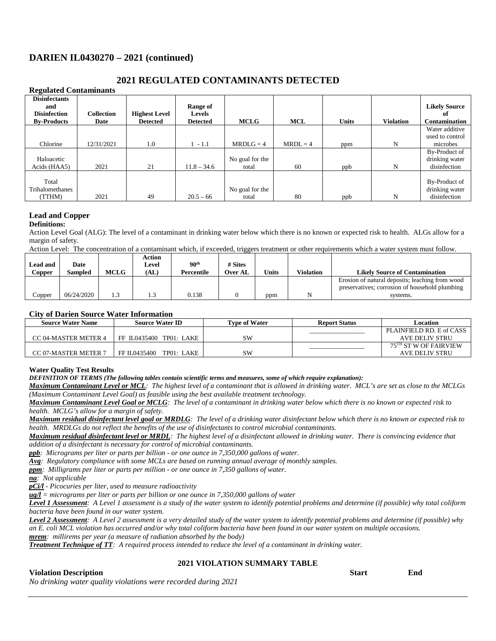# **DARIEN IL0430270 – 2021 (continued)**

# **2021 REGULATED CONTAMINANTS DETECTED**

| <b>Regulated Contaminants</b>                                            |                           |                                         |                                              |                          |            |              |                  |                                                    |
|--------------------------------------------------------------------------|---------------------------|-----------------------------------------|----------------------------------------------|--------------------------|------------|--------------|------------------|----------------------------------------------------|
| <b>Disinfectants</b><br>and<br><b>Disinfection</b><br><b>By-Products</b> | <b>Collection</b><br>Date | <b>Highest Level</b><br><b>Detected</b> | Range of<br><b>Levels</b><br><b>Detected</b> | <b>MCLG</b>              | MCL        | <b>Units</b> | <b>Violation</b> | <b>Likely Source</b><br>оf<br><b>Contamination</b> |
|                                                                          |                           |                                         |                                              |                          |            |              |                  | Water additive                                     |
|                                                                          |                           |                                         |                                              |                          |            |              |                  | used to control                                    |
| Chlorine                                                                 | 12/31/2021                | 1.0                                     | $1 - 1.1$                                    | $MRDLG = 4$              | $MRDL = 4$ | ppm          | N                | microbes                                           |
| Haloacetic<br>Acids (HAA5)                                               | 2021                      | 21                                      | $11.8 - 34.6$                                | No goal for the<br>total | 60         | ppb          | N                | By-Product of<br>drinking water<br>disinfection    |
| Total<br>Trihalomethanes<br>(TTHM)                                       | 2021                      | 49                                      | $20.5 - 66$                                  | No goal for the<br>total | 80         | ppb          | N                | By-Product of<br>drinking water<br>disinfection    |

### **Lead and Copper**

#### **Definitions:**

Action Level Goal (ALG): The level of a contaminant in drinking water below which there is no known or expected risk to health. ALGs allow for a margin of safety.

Action Level: The concentration of a contaminant which, if exceeded, triggers treatment or other requirements which a water system must follow.

| <b>Lead and</b> | Date       |             | Action<br>Level | 90 <sup>th</sup> | # Sites        |              |                  |                                                 |
|-----------------|------------|-------------|-----------------|------------------|----------------|--------------|------------------|-------------------------------------------------|
| Copper          | Sampled    | <b>MCLG</b> | $\bf{(AL)}$     | Percentile       | <b>Over AL</b> | <b>Units</b> | <b>Violation</b> | <b>Likely Source of Contamination</b>           |
|                 |            |             |                 |                  |                |              |                  | Erosion of natural deposits; leaching from wood |
|                 |            |             |                 |                  |                |              |                  | preservatives; corrosion of household plumbing  |
| Copper          | 06/24/2020 |             | L.J             | 0.138            |                | ppm          |                  | systems.                                        |

### **City of Darien Source Water Information**

| <b>Source Water Name</b> | <b>Source Water ID</b>      | <b>Type of Water</b> |  | Location                 |
|--------------------------|-----------------------------|----------------------|--|--------------------------|
|                          |                             |                      |  | PLAINFIELD RD. E of CASS |
| CC 04-MASTER METER 4     | FF IL0435400 TP01: LAKE     | SW                   |  | AVE DELIV STRU           |
|                          |                             |                      |  | 75TH ST W OF FAIRVIEW    |
| CC 07-MASTER METER 7     | FF II 0435400<br>TP01: LAKE | SW                   |  | AVE DELIV STRU           |

#### **Water Quality Test Results**

*DEFINITION OF TERMS (The following tables contain scientific terms and measures, some of which require explanation):*

*Maximum Contaminant Level or MCL: The highest level of a contaminant that is allowed in drinking water. MCL's are set as close to the MCLGs (Maximum Contaminant Level Goal) as feasible using the best available treatment technology.* 

*Maximum Contaminant Level Goal or MCLG: The level of a contaminant in drinking water below which there is no known or expected risk to health. MCLG's allow for a margin of safety.*

*Maximum residual disinfectant level goal or MRDLG: The level of a drinking water disinfectant below which there is no known or expected risk to health. MRDLGs do not reflect the benefits of the use of disinfectants to control microbial contaminants.*

*Maximum residual disinfectant level or MRDL: The highest level of a disinfectant allowed in drinking water. There is convincing evidence that addition of a disinfectant is necessary for control of microbial contaminants.* 

*ppb: Micrograms per liter or parts per billion - or one ounce in 7,350,000 gallons of water.*

*Avg: Regulatory compliance with some MCLs are based on running annual average of monthly samples.*

*ppm: Milligrams per liter or parts per million - or one ounce in 7,350 gallons of water.*

*na: Not applicable*

*pCi/l - Picocuries per liter, used to measure radioactivity*

*ug/l = micrograms per liter or parts per billion or one ounce in 7,350,000 gallons of water*

*Level 1 Assessment: A Level 1 assessment is a study of the water system to identify potential problems and determine (if possible) why total coliform bacteria have been found in our water system.*

*Level 2 Assessment: A Level 2 assessment is a very detailed study of the water system to identify potential problems and determine (if possible) why an E. coli MCL violation has occurred and/or why total coliform bacteria have been found in our water system on multiple occasions.*

*mrem: millirems per year (a measure of radiation absorbed by the body)*

*Treatment Technique of TT: A required process intended to reduce the level of a contaminant in drinking water.*

# **2021 VIOLATION SUMMARY TABLE**

# **Violation Description Start End**

*No drinking water quality violations were recorded during 2021*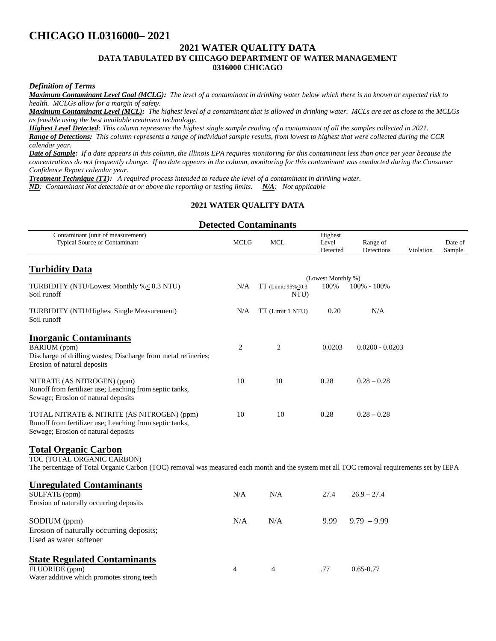# **CHICAGO IL0316000– 2021**

# **2021 WATER QUALITY DATA DATA TABULATED BY CHICAGO DEPARTMENT OF WATER MANAGEMENT 0316000 CHICAGO**

#### *Definition of Terms*

*Maximum Contaminant Level Goal (MCLG): The level of a contaminant in drinking water below which there is no known or expected risk to health. MCLGs allow for a margin of safety.*

*Maximum Contaminant Level (MCL): The highest level of a contaminant that is allowed in drinking water. MCLs are set as close to the MCLGs as feasible using the best available treatment technology.*

*Highest Level Detected: This column represents the highest single sample reading of a contaminant of all the samples collected in 2021.*

*Range of Detections: This column represents a range of individual sample results, from lowest to highest that were collected during the CCR calendar year.* 

*Date of Sample: If a date appears in this column, the Illinois EPA requires monitoring for this contaminant less than once per year because the concentrations do not frequently change. If no date appears in the column, monitoring for this contaminant was conducted during the Consumer Confidence Report calendar year.*

*Treatment Technique (TT): A required process intended to reduce the level of a contaminant in drinking water.*

*ND: Contaminant Not detectable at or above the reporting or testing limits. N/A: Not applicable*

# **2021 WATER QUALITY DATA**

# **Detected Contaminants**

| Contaminant (unit of measurement)    |      |            | Highest  |            |           |         |
|--------------------------------------|------|------------|----------|------------|-----------|---------|
| <b>Typical Source of Contaminant</b> | MCLG | <b>MCL</b> | Level    | Range of   |           | Date of |
|                                      |      |            | Detected | Detections | Violation | Sample  |
|                                      |      |            |          |            |           |         |

# **Turbidity Data**

|                                                                                                                                                |                |                                | (Lowest Monthly %) |                   |
|------------------------------------------------------------------------------------------------------------------------------------------------|----------------|--------------------------------|--------------------|-------------------|
| TURBIDITY (NTU/Lowest Monthly %< 0.3 NTU)<br>Soil runoff                                                                                       | N/A            | $TT$ (Limit: 95% < 0.3<br>NTU) | 100%               | $100\% - 100\%$   |
| <b>TURBIDITY</b> (NTU/Highest Single Measurement)<br>Soil runoff                                                                               | N/A            | TT (Limit 1 NTU)               | 0.20               | N/A               |
| <b>Inorganic Contaminants</b><br>BARIUM (ppm)<br>Discharge of drilling wastes; Discharge from metal refineries;<br>Erosion of natural deposits | $\overline{2}$ | 2                              | 0.0203             | $0.0200 - 0.0203$ |
| NITRATE (AS NITROGEN) (ppm)<br>Runoff from fertilizer use; Leaching from septic tanks,<br>Sewage; Erosion of natural deposits                  | 10             | 10                             | 0.28               | $0.28 - 0.28$     |
| TOTAL NITRATE & NITRITE (AS NITROGEN) (ppm)<br>Runoff from fertilizer use; Leaching from septic tanks,<br>Sewage; Erosion of natural deposits  | 10             | 10                             | 0.28               | $0.28 - 0.28$     |

# **Total Organic Carbon**

TOC (TOTAL ORGANIC CARBON)

The percentage of Total Organic Carbon (TOC) removal was measured each month and the system met all TOC removal requirements set by IEPA

# **Unregulated Contaminants**

Water additive which promotes strong teeth

| SULFATE (ppm)                                                                      | N/A | N/A | 27.4 | $26.9 - 27.4$ |
|------------------------------------------------------------------------------------|-----|-----|------|---------------|
| Erosion of naturally occurring deposits                                            |     |     |      |               |
| SODIUM (ppm)<br>Erosion of naturally occurring deposits;<br>Used as water softener | N/A | N/A | 9.99 | $9.79 - 9.99$ |
| <b>State Regulated Contaminants</b>                                                |     |     |      |               |
| FLUORIDE (ppm)                                                                     | 4   | 4   |      | $0.65 - 0.77$ |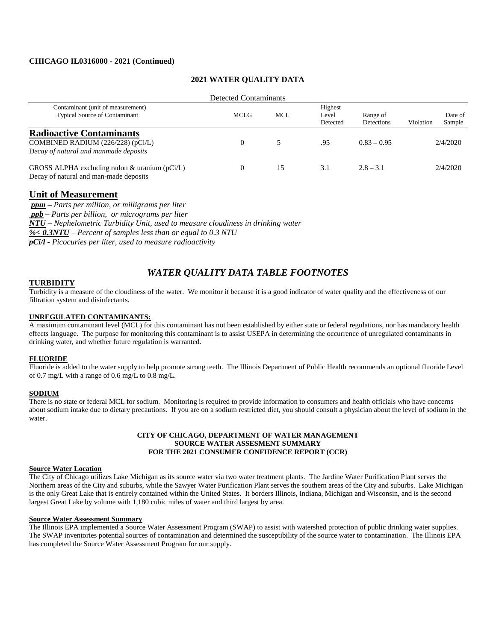#### **CHICAGO IL0316000 - 2021 (Continued)**

| <b>Detected Contaminants</b>                                                                                  |             |            |                              |                        |                                |  |
|---------------------------------------------------------------------------------------------------------------|-------------|------------|------------------------------|------------------------|--------------------------------|--|
| Contaminant (unit of measurement)<br>Typical Source of Contaminant                                            | <b>MCLG</b> | <b>MCL</b> | Highest<br>Level<br>Detected | Range of<br>Detections | Date of<br>Violation<br>Sample |  |
| <b>Radioactive Contaminants</b><br>COMBINED RADIUM (226/228) (pCi/L)<br>Decay of natural and manmade deposits | $\Omega$    |            | .95                          | $0.83 - 0.95$          | 2/4/2020                       |  |
| GROSS ALPHA excluding radon & uranium (pCi/L)<br>Decay of natural and man-made deposits                       |             | 15         | 3.1                          | $2.8 - 3.1$            | 2/4/2020                       |  |

## **2021 WATER QUALITY DATA**

### **Unit of Measurement**

*ppm – Parts per million, or milligrams per liter* 

*ppb – Parts per billion, or micrograms per liter*

*NTU – Nephelometric Turbidity Unit, used to measure cloudiness in drinking water*

*%< 0.3NTU – Percent of samples less than or equal to 0.3 NTU*

*pCi/l - Picocuries per liter, used to measure radioactivity*

# *WATER QUALITY DATA TABLE FOOTNOTES*

#### **TURBIDITY**

Turbidity is a measure of the cloudiness of the water. We monitor it because it is a good indicator of water quality and the effectiveness of our filtration system and disinfectants.

#### **UNREGULATED CONTAMINANTS:**

A maximum contaminant level (MCL) for this contaminant has not been established by either state or federal regulations, nor has mandatory health effects language. The purpose for monitoring this contaminant is to assist USEPA in determining the occurrence of unregulated contaminants in drinking water, and whether future regulation is warranted.

#### **FLUORIDE**

Fluoride is added to the water supply to help promote strong teeth. The Illinois Department of Public Health recommends an optional fluoride Level of 0.7 mg/L with a range of 0.6 mg/L to 0.8 mg/L.

#### **SODIUM**

There is no state or federal MCL for sodium. Monitoring is required to provide information to consumers and health officials who have concerns about sodium intake due to dietary precautions. If you are on a sodium restricted diet, you should consult a physician about the level of sodium in the water.

#### **CITY OF CHICAGO, DEPARTMENT OF WATER MANAGEMENT SOURCE WATER ASSESMENT SUMMARY FOR THE 2021 CONSUMER CONFIDENCE REPORT (CCR)**

#### **Source Water Location**

The City of Chicago utilizes Lake Michigan as its source water via two water treatment plants. The Jardine Water Purification Plant serves the Northern areas of the City and suburbs, while the Sawyer Water Purification Plant serves the southern areas of the City and suburbs. Lake Michigan is the only Great Lake that is entirely contained within the United States. It borders Illinois, Indiana, Michigan and Wisconsin, and is the second largest Great Lake by volume with 1,180 cubic miles of water and third largest by area.

#### **Source Water Assessment Summary**

The Illinois EPA implemented a Source Water Assessment Program (SWAP) to assist with watershed protection of public drinking water supplies. The SWAP inventories potential sources of contamination and determined the susceptibility of the source water to contamination. The Illinois EPA has completed the Source Water Assessment Program for our supply.